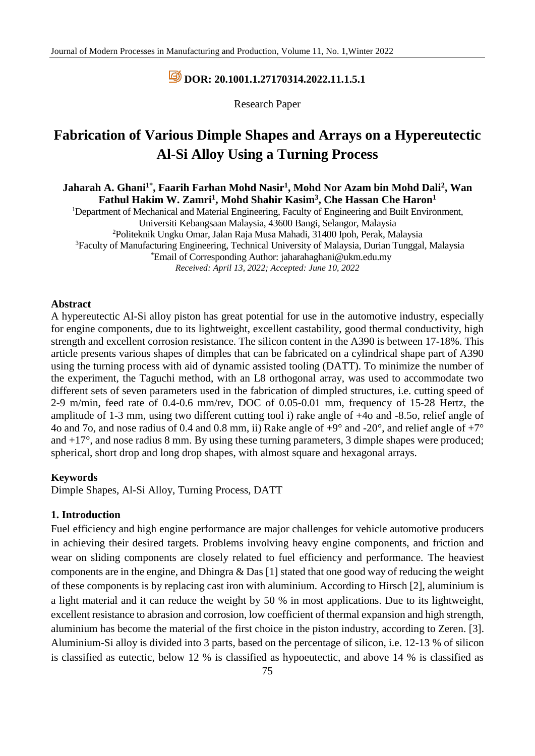# **DOR: [20.1001.1.27170314.2022.11.1.5.1](https://dorl.net/dor/20.1001.1.27170314.2022.11.1.5.1)**

Research Paper

# **Fabrication of Various Dimple Shapes and Arrays on a Hypereutectic Al-Si Alloy Using a Turning Process**

**Jaharah A. Ghani1\*, Faarih Farhan Mohd Nasir<sup>1</sup> , Mohd Nor Azam bin Mohd Dali<sup>2</sup> , Wan Fathul Hakim W. Zamri<sup>1</sup> , Mohd Shahir Kasim<sup>3</sup> , Che Hassan Che Haron<sup>1</sup>**

<sup>1</sup>Department of Mechanical and Material Engineering, Faculty of Engineering and Built Environment, Universiti Kebangsaan Malaysia, 43600 Bangi, Selangor, Malaysia <sup>2</sup>Politeknik Ungku Omar, Jalan Raja Musa Mahadi, 31400 Ipoh, Perak, Malaysia <sup>3</sup>Faculty of Manufacturing Engineering, Technical University of Malaysia, Durian Tunggal, Malaysia \*Email of Corresponding Author: jaharahaghani@ukm.edu.my *Received: April 13, 2022; Accepted: June 10, 2022*

#### **Abstract**

A hypereutectic Al-Si alloy piston has great potential for use in the automotive industry, especially for engine components, due to its lightweight, excellent castability, good thermal conductivity, high strength and excellent corrosion resistance. The silicon content in the A390 is between 17-18%. This article presents various shapes of dimples that can be fabricated on a cylindrical shape part of A390 using the turning process with aid of dynamic assisted tooling (DATT). To minimize the number of the experiment, the Taguchi method, with an L8 orthogonal array, was used to accommodate two different sets of seven parameters used in the fabrication of dimpled structures, i.e. cutting speed of 2-9 m/min, feed rate of 0.4-0.6 mm/rev, DOC of 0.05-0.01 mm, frequency of 15-28 Hertz, the amplitude of 1-3 mm, using two different cutting tool i) rake angle of +4o and -8.5o, relief angle of 4o and 7o, and nose radius of 0.4 and 0.8 mm, ii) Rake angle of  $+9^{\circ}$  and -20°, and relief angle of  $+7^{\circ}$ and  $+17^{\circ}$ , and nose radius 8 mm. By using these turning parameters, 3 dimple shapes were produced; spherical, short drop and long drop shapes, with almost square and hexagonal arrays.

#### **Keywords**

Dimple Shapes, Al-Si Alloy, Turning Process, DATT

### **1. Introduction**

Fuel efficiency and high engine performance are major challenges for vehicle automotive producers in achieving their desired targets. Problems involving heavy engine components, and friction and wear on sliding components are closely related to fuel efficiency and performance. The heaviest components are in the engine, and Dhingra & Das [1] stated that one good way of reducing the weight of these components is by replacing cast iron with aluminium. According to Hirsch [2], aluminium is a light material and it can reduce the weight by 50 % in most applications. Due to its lightweight, excellent resistance to abrasion and corrosion, low coefficient of thermal expansion and high strength, aluminium has become the material of the first choice in the piston industry, according to Zeren. [3]. Aluminium-Si alloy is divided into 3 parts, based on the percentage of silicon, i.e. 12-13 % of silicon is classified as eutectic, below 12 % is classified as hypoeutectic, and above 14 % is classified as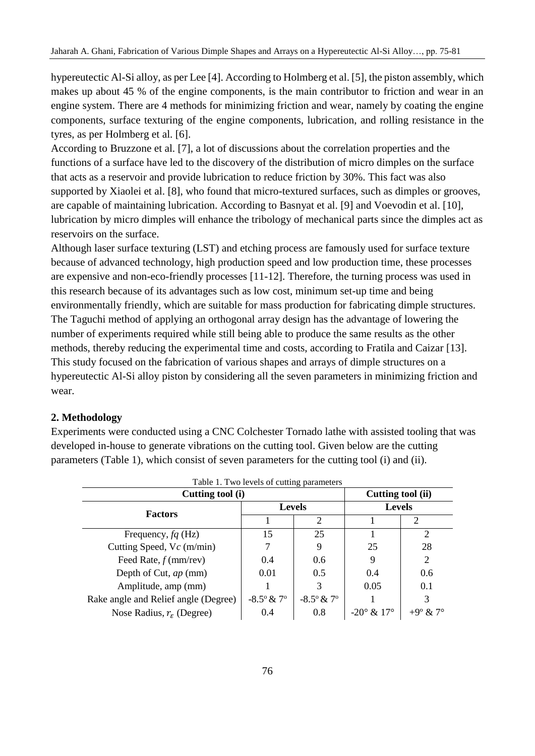hypereutectic Al-Si alloy, as per Lee [4]. According to Holmberg et al. [5], the piston assembly, which makes up about 45 % of the engine components, is the main contributor to friction and wear in an engine system. There are 4 methods for minimizing friction and wear, namely by coating the engine components, surface texturing of the engine components, lubrication, and rolling resistance in the tyres, as per Holmberg et al. [6].

According to Bruzzone et al. [7], a lot of discussions about the correlation properties and the functions of a surface have led to the discovery of the distribution of micro dimples on the surface that acts as a reservoir and provide lubrication to reduce friction by 30%. This fact was also supported by Xiaolei et al. [8], who found that micro-textured surfaces, such as dimples or grooves, are capable of maintaining lubrication. According to Basnyat et al. [9] and Voevodin et al. [10], lubrication by micro dimples will enhance the tribology of mechanical parts since the dimples act as reservoirs on the surface.

Although laser surface texturing (LST) and etching process are famously used for surface texture because of advanced technology, high production speed and low production time, these processes are expensive and non-eco-friendly processes [11-12]. Therefore, the turning process was used in this research because of its advantages such as low cost, minimum set-up time and being environmentally friendly, which are suitable for mass production for fabricating dimple structures. The Taguchi method of applying an orthogonal array design has the advantage of lowering the number of experiments required while still being able to produce the same results as the other methods, thereby reducing the experimental time and costs, according to Fratila and Caizar [13]. This study focused on the fabrication of various shapes and arrays of dimple structures on a hypereutectic Al-Si alloy piston by considering all the seven parameters in minimizing friction and wear.

## **2. Methodology**

Experiments were conducted using a CNC Colchester Tornado lathe with assisted tooling that was developed in-house to generate vibrations on the cutting tool. Given below are the cutting parameters (Table 1), which consist of seven parameters for the cutting tool (i) and (ii).

| Table 1. Two levels of cutting parameters |                              |                              |                             |                   |  |  |  |
|-------------------------------------------|------------------------------|------------------------------|-----------------------------|-------------------|--|--|--|
| Cutting tool (i)                          | Cutting tool (ii)            |                              |                             |                   |  |  |  |
| <b>Factors</b>                            | <b>Levels</b>                |                              | <b>Levels</b>               |                   |  |  |  |
|                                           |                              | $\mathcal{D}_{\mathcal{L}}$  |                             | 2                 |  |  |  |
| Frequency, $fq$ (Hz)                      | 15                           | 25                           |                             | 2                 |  |  |  |
| Cutting Speed, $Vc$ (m/min)               |                              | 9                            | 25                          | 28                |  |  |  |
| Feed Rate, $f$ (mm/rev)                   | 0.4                          | 0.6                          | 9                           | 2                 |  |  |  |
| Depth of Cut, ap (mm)                     | 0.01                         | 0.5                          | 0.4                         | 0.6               |  |  |  |
| Amplitude, amp (mm)                       |                              | 3                            | 0.05                        | 0.1               |  |  |  |
| Rake angle and Relief angle (Degree)      | $-8.5^{\circ}$ & $7^{\circ}$ | $-8.5^{\circ}$ & $7^{\circ}$ |                             | 3                 |  |  |  |
| Nose Radius, $r_{\varepsilon}$ (Degree)   | 0.4                          | 0.8                          | $-20^{\circ} \& 17^{\circ}$ | $+9^{\circ}$ & 7° |  |  |  |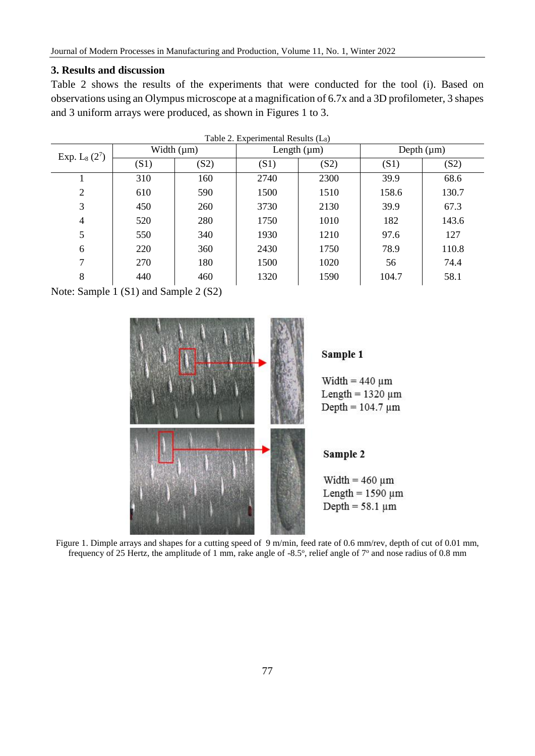# **3. Results and discussion**

Table 2 shows the results of the experiments that were conducted for the tool (i). Based on observations using an Olympus microscope at a magnification of 6.7x and a 3D profilometer, 3 shapes and 3 uniform arrays were produced, as shown in Figures 1 to 3.

| Table 2. Experimental Results $(L_8)$ |                 |      |                  |      |                 |       |  |
|---------------------------------------|-----------------|------|------------------|------|-----------------|-------|--|
| Exp. $L_8(2^7)$                       | Width $(\mu m)$ |      | Length $(\mu m)$ |      | Depth $(\mu m)$ |       |  |
|                                       | (S1)            | (S2) | (S1)             | (S2) | (S1)            | (S2)  |  |
|                                       | 310             | 160  | 2740             | 2300 | 39.9            | 68.6  |  |
| $\overline{2}$                        | 610             | 590  | 1500             | 1510 | 158.6           | 130.7 |  |
| 3                                     | 450             | 260  | 3730             | 2130 | 39.9            | 67.3  |  |
| 4                                     | 520             | 280  | 1750             | 1010 | 182             | 143.6 |  |
| 5                                     | 550             | 340  | 1930             | 1210 | 97.6            | 127   |  |
| 6                                     | 220             | 360  | 2430             | 1750 | 78.9            | 110.8 |  |
| 7                                     | 270             | 180  | 1500             | 1020 | 56              | 74.4  |  |
| 8                                     | 440             | 460  | 1320             | 1590 | 104.7           | 58.1  |  |
|                                       |                 |      |                  |      |                 |       |  |

Note: Sample 1 (S1) and Sample 2 (S2)



Figure 1. Dimple arrays and shapes for a cutting speed of 9 m/min, feed rate of 0.6 mm/rev, depth of cut of 0.01 mm, frequency of 25 Hertz, the amplitude of 1 mm, rake angle of -8.5°, relief angle of  $7°$  and nose radius of 0.8 mm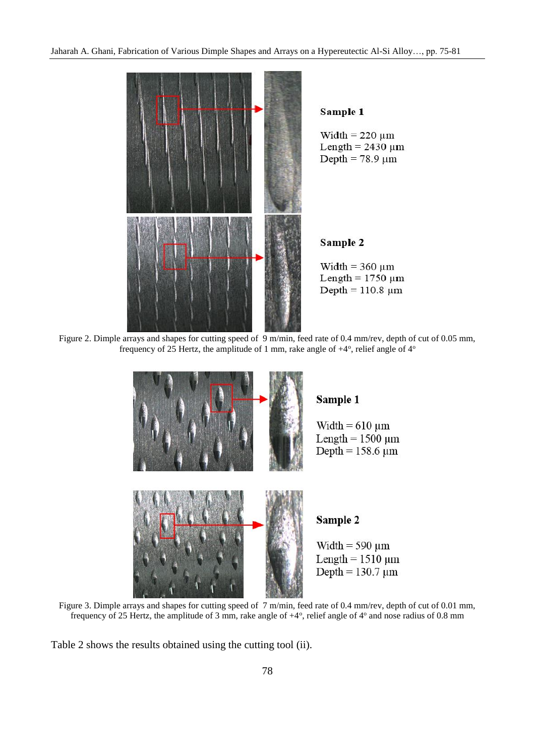

Figure 2. Dimple arrays and shapes for cutting speed of 9 m/min, feed rate of 0.4 mm/rev, depth of cut of 0.05 mm, frequency of 25 Hertz, the amplitude of 1 mm, rake angle of  $+4^{\circ}$ , relief angle of  $4^{\circ}$ 



Figure 3. Dimple arrays and shapes for cutting speed of 7 m/min, feed rate of 0.4 mm/rev, depth of cut of 0.01 mm, frequency of 25 Hertz, the amplitude of 3 mm, rake angle of  $+4^{\circ}$ , relief angle of  $4^{\circ}$  and nose radius of 0.8 mm

Table 2 shows the results obtained using the cutting tool (ii).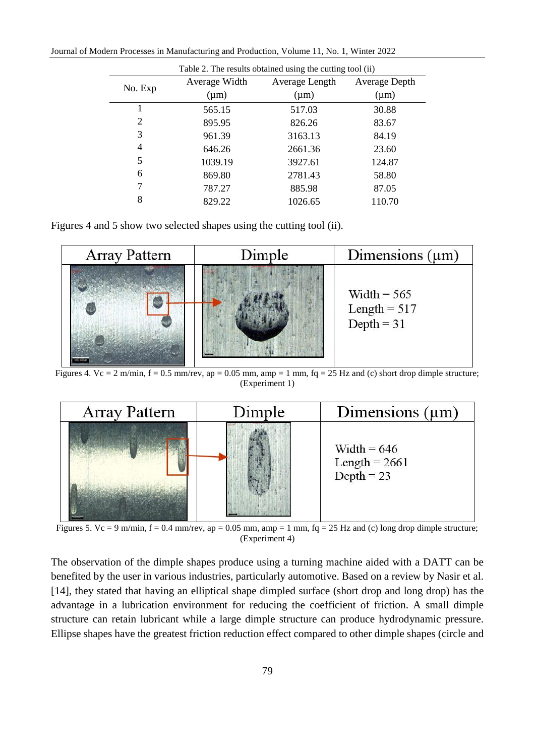Journal of Modern Processes in Manufacturing and Production, Volume 11, No. 1, Winter 2022

| Table 2. The results obtained using the cutting tool (ii) |               |                |               |  |  |  |
|-----------------------------------------------------------|---------------|----------------|---------------|--|--|--|
| No. Exp                                                   | Average Width | Average Length | Average Depth |  |  |  |
|                                                           | $(\mu m)$     | $(\mu m)$      | $(\mu m)$     |  |  |  |
|                                                           | 565.15        | 517.03         | 30.88         |  |  |  |
| $\overline{2}$                                            | 895.95        | 826.26         | 83.67         |  |  |  |
| 3                                                         | 961.39        | 3163.13        | 84.19         |  |  |  |
| 4                                                         | 646.26        | 2661.36        | 23.60         |  |  |  |
| 5                                                         | 1039.19       | 3927.61        | 124.87        |  |  |  |
| 6                                                         | 869.80        | 2781.43        | 58.80         |  |  |  |
| 7                                                         | 787.27        | 885.98         | 87.05         |  |  |  |
| 8                                                         | 829.22        | 1026.65        | 110.70        |  |  |  |

Figures 4 and 5 show two selected shapes using the cutting tool (ii).



Figures 4. Vc = 2 m/min,  $f = 0.5$  mm/rev, ap = 0.05 mm, amp = 1 mm,  $fq = 25$  Hz and (c) short drop dimple structure; (Experiment 1)



Figures 5. Vc = 9 m/min,  $f = 0.4$  mm/rev, ap = 0.05 mm, amp = 1 mm,  $fq = 25$  Hz and (c) long drop dimple structure; (Experiment 4)

The observation of the dimple shapes produce using a turning machine aided with a DATT can be benefited by the user in various industries, particularly automotive. Based on a review by Nasir et al. [14], they stated that having an elliptical shape dimpled surface (short drop and long drop) has the advantage in a lubrication environment for reducing the coefficient of friction. A small dimple structure can retain lubricant while a large dimple structure can produce hydrodynamic pressure. Ellipse shapes have the greatest friction reduction effect compared to other dimple shapes (circle and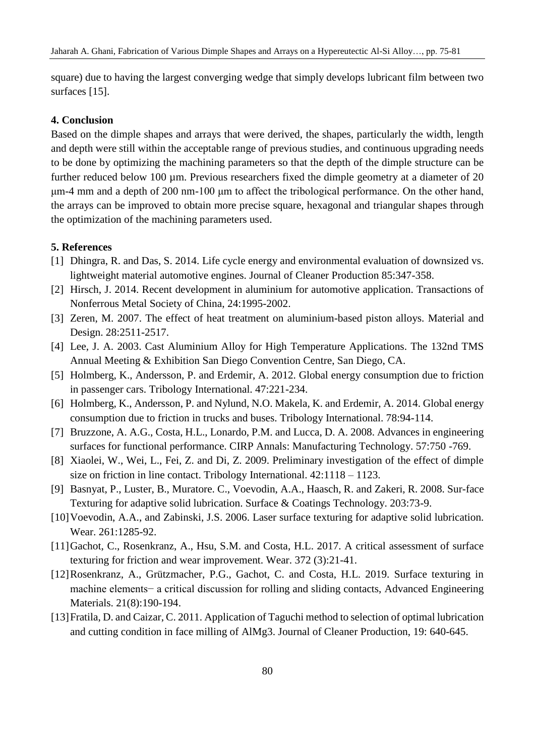square) due to having the largest converging wedge that simply develops lubricant film between two surfaces [15].

## **4. Conclusion**

Based on the dimple shapes and arrays that were derived, the shapes, particularly the width, length and depth were still within the acceptable range of previous studies, and continuous upgrading needs to be done by optimizing the machining parameters so that the depth of the dimple structure can be further reduced below 100 µm. Previous researchers fixed the dimple geometry at a diameter of 20 μm-4 mm and a depth of 200 nm-100 μm to affect the tribological performance. On the other hand, the arrays can be improved to obtain more precise square, hexagonal and triangular shapes through the optimization of the machining parameters used.

#### **5. References**

- [1] Dhingra, R. and Das, S. 2014. Life cycle energy and environmental evaluation of downsized vs. lightweight material automotive engines. Journal of Cleaner Production 85:347-358.
- [2] Hirsch, J. 2014. Recent development in aluminium for automotive application. Transactions of Nonferrous Metal Society of China, 24:1995-2002.
- [3] Zeren, M. 2007. The effect of heat treatment on aluminium-based piston alloys. Material and Design. 28:2511-2517.
- [4] Lee, J. A. 2003. Cast Aluminium Alloy for High Temperature Applications. The 132nd TMS Annual Meeting & Exhibition San Diego Convention Centre, San Diego, CA.
- [5] Holmberg, K., Andersson, P. and Erdemir, A. 2012. Global energy consumption due to friction in passenger cars. Tribology International. 47:221-234.
- [6] Holmberg, K., Andersson, P. and Nylund, N.O. Makela, K. and Erdemir, A. 2014. Global energy consumption due to friction in trucks and buses. Tribology International. 78:94-114.
- [7] Bruzzone, A. A.G., Costa, H.L., Lonardo, P.M. and Lucca, D. A. 2008. Advances in engineering surfaces for functional performance. CIRP Annals: Manufacturing Technology. 57:750 -769.
- [8] Xiaolei, W., Wei, L., Fei, Z. and Di, Z. 2009. Preliminary investigation of the effect of dimple size on friction in line contact. Tribology International. 42:1118 – 1123.
- [9] Basnyat, P., Luster, B., Muratore. C., Voevodin, A.A., Haasch, R. and Zakeri, R. 2008. Sur-face Texturing for adaptive solid lubrication. Surface & Coatings Technology. 203:73-9.
- [10] Voevodin, A.A., and Zabinski, J.S. 2006. Laser surface texturing for adaptive solid lubrication. Wear. 261:1285-92.
- [11]Gachot, C., Rosenkranz, A., Hsu, S.M. and Costa, H.L. 2017. A critical assessment of surface texturing for friction and wear improvement. Wear. 372 (3):21-41.
- [12]Rosenkranz, A., Grützmacher, P.G., Gachot, C. and Costa, H.L. 2019. Surface texturing in machine elements− a critical discussion for rolling and sliding contacts, Advanced Engineering Materials. 21(8):190-194.
- [13]Fratila, D. and Caizar, C. 2011. Application of Taguchi method to selection of optimal lubrication and cutting condition in face milling of AlMg3. Journal of Cleaner Production, 19: 640-645.